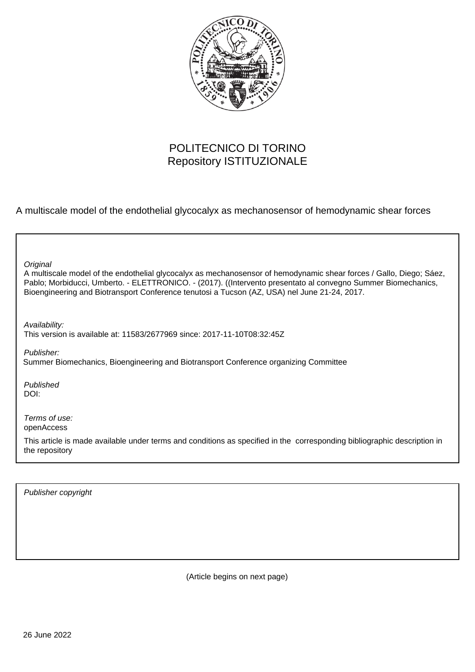

# POLITECNICO DI TORINO Repository ISTITUZIONALE

A multiscale model of the endothelial glycocalyx as mechanosensor of hemodynamic shear forces

| Original<br>A multiscale model of the endothelial glycocalyx as mechanosensor of hemodynamic shear forces / Gallo, Diego; Sáez,<br>Pablo; Morbiducci, Umberto. - ELETTRONICO. - (2017). ((Intervento presentato al convegno Summer Biomechanics,<br>Bioengineering and Biotransport Conference tenutosi a Tucson (AZ, USA) nel June 21-24, 2017. |
|--------------------------------------------------------------------------------------------------------------------------------------------------------------------------------------------------------------------------------------------------------------------------------------------------------------------------------------------------|
| Availability:<br>This version is available at: 11583/2677969 since: 2017-11-10T08:32:45Z                                                                                                                                                                                                                                                         |
| Publisher:<br>Summer Biomechanics, Bioengineering and Biotransport Conference organizing Committee                                                                                                                                                                                                                                               |
| Published<br>DOI:                                                                                                                                                                                                                                                                                                                                |
| Terms of use:<br>openAccess                                                                                                                                                                                                                                                                                                                      |
| This article is made available under terms and conditions as specified in the corresponding bibliographic description in<br>the repository                                                                                                                                                                                                       |

Publisher copyright

(Article begins on next page)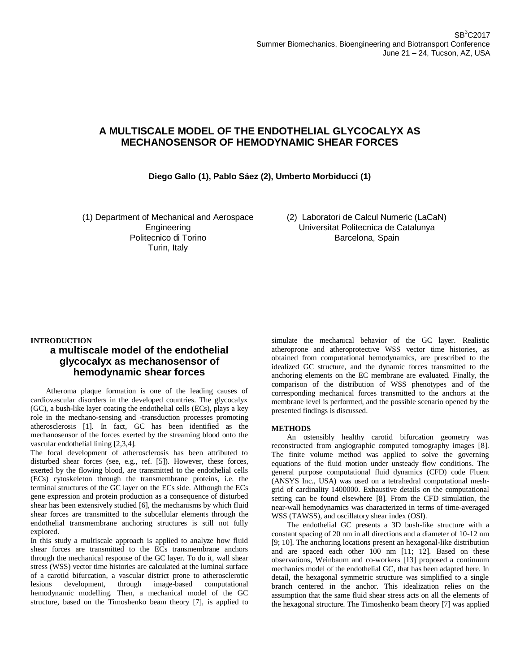# **A MULTISCALE MODEL OF THE ENDOTHELIAL GLYCOCALYX AS MECHANOSENSOR OF HEMODYNAMIC SHEAR FORCES**

## **Diego Gallo (1), Pablo Sáez (2), Umberto Morbiducci (1)**

(1) Department of Mechanical and Aerospace Engineering Politecnico di Torino Turin, Italy

(2) Laboratori de Calcul Numeric (LaCaN) Universitat Politecnica de Catalunya Barcelona, Spain

### **INTRODUCTION**

# **a multiscale model of the endothelial glycocalyx as mechanosensor of hemodynamic shear forces**

Atheroma plaque formation is one of the leading causes of cardiovascular disorders in the developed countries. The glycocalyx (GC), a bush-like layer coating the endothelial cells (ECs), plays a key role in the mechano-sensing and -transduction processes promoting atherosclerosis [1]. In fact, GC has been identified as the mechanosensor of the forces exerted by the streaming blood onto the vascular endothelial lining [2,3,4].

The focal development of atherosclerosis has been attributed to disturbed shear forces (see, e.g., ref. [5]). However, these forces, exerted by the flowing blood, are transmitted to the endothelial cells (ECs) cytoskeleton through the transmembrane proteins, i.e. the terminal structures of the GC layer on the ECs side. Although the ECs gene expression and protein production as a consequence of disturbed shear has been extensively studied [6], the mechanisms by which fluid shear forces are transmitted to the subcellular elements through the endothelial transmembrane anchoring structures is still not fully explored.

In this study a multiscale approach is applied to analyze how fluid shear forces are transmitted to the ECs transmembrane anchors through the mechanical response of the GC layer. To do it, wall shear stress (WSS) vector time histories are calculated at the luminal surface of a carotid bifurcation, a vascular district prone to atherosclerotic lesions development, through image-based computational hemodynamic modelling. Then, a mechanical model of the GC structure, based on the Timoshenko beam theory [7], is applied to

simulate the mechanical behavior of the GC layer. Realistic atheroprone and atheroprotective WSS vector time histories, as obtained from computational hemodynamics, are prescribed to the idealized GC structure, and the dynamic forces transmitted to the anchoring elements on the EC membrane are evaluated. Finally, the comparison of the distribution of WSS phenotypes and of the corresponding mechanical forces transmitted to the anchors at the membrane level is performed, and the possible scenario opened by the presented findings is discussed.

### **METHODS**

An ostensibly healthy carotid bifurcation geometry was reconstructed from angiographic computed tomography images [8]. The finite volume method was applied to solve the governing equations of the fluid motion under unsteady flow conditions. The general purpose computational fluid dynamics (CFD) code Fluent (ANSYS Inc., USA) was used on a tetrahedral computational meshgrid of cardinality 1400000. Exhaustive details on the computational setting can be found elsewhere [8]. From the CFD simulation, the near-wall hemodynamics was characterized in terms of time-averaged WSS (TAWSS), and oscillatory shear index (OSI).

The endothelial GC presents a 3D bush-like structure with a constant spacing of 20 nm in all directions and a diameter of 10-12 nm [9; 10]. The anchoring locations present an hexagonal-like distribution and are spaced each other 100 nm [11; 12]. Based on these observations, Weinbaum and co-workers [13] proposed a continuum mechanics model of the endothelial GC, that has been adapted here. In detail, the hexagonal symmetric structure was simplified to a single branch centered in the anchor. This idealization relies on the assumption that the same fluid shear stress acts on all the elements of the hexagonal structure. The Timoshenko beam theory [7] was applied